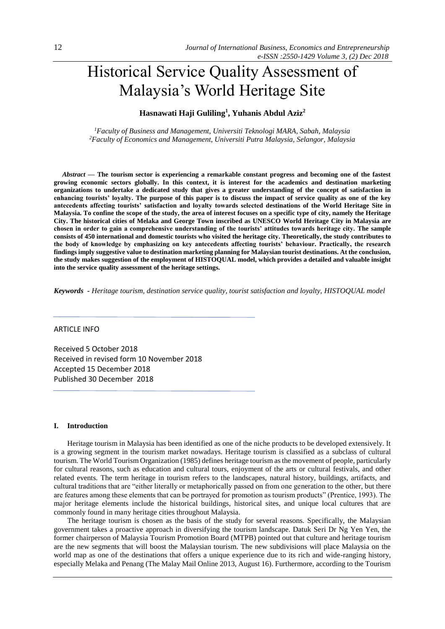# Historical Service Quality Assessment of Malaysia's World Heritage Site

## **Hasnawati Haji Guliling<sup>1</sup> , Yuhanis Abdul Aziz<sup>2</sup>**

*<sup>1</sup>Faculty of Business and Management, Universiti Teknologi MARA, Sabah, Malaysia <sup>2</sup>Faculty of Economics and Management, Universiti Putra Malaysia, Selangor, Malaysia* 

 *Abstract —* **The tourism sector is experiencing a remarkable constant progress and becoming one of the fastest growing economic sectors globally. In this context, it is interest for the academics and destination marketing organizations to undertake a dedicated study that gives a greater understanding of the concept of satisfaction in enhancing tourists' loyalty. The purpose of this paper is to discuss the impact of service quality as one of the key antecedents affecting tourists' satisfaction and loyalty towards selected destinations of the World Heritage Site in Malaysia. To confine the scope of the study, the area of interest focuses on a specific type of city, namely the Heritage City. The historical cities of Melaka and George Town inscribed as UNESCO World Heritage City in Malaysia are chosen in order to gain a comprehensive understanding of the tourists' attitudes towards heritage city. The sample consists of 450 international and domestic tourists who visited the heritage city. Theoretically, the study contributes to the body of knowledge by emphasizing on key antecedents affecting tourists' behaviour. Practically, the research findings imply suggestive value to destination marketing planning for Malaysian tourist destinations. At the conclusion, the study makes suggestion of the employment of HISTOQUAL model, which provides a detailed and valuable insight into the service quality assessment of the heritage settings.**

*Keywords - Heritage tourism, destination service quality, tourist satisfaction and loyalty, HISTOQUAL model*

#### ARTICLE INFO

Received 5 October 2018 Received in revised form 10 November 2018 Accepted 15 December 2018 Published 30 December 2018

## **I. Introduction**

Heritage tourism in Malaysia has been identified as one of the niche products to be developed extensively. It is a growing segment in the tourism market nowadays. Heritage tourism is classified as a subclass of cultural tourism. The World Tourism Organization (1985) defines heritage tourism as the movement of people, particularly for cultural reasons, such as education and cultural tours, enjoyment of the arts or cultural festivals, and other related events. The term heritage in tourism refers to the landscapes, natural history, buildings, artifacts, and cultural traditions that are "either literally or metaphorically passed on from one generation to the other, but there are features among these elements that can be portrayed for promotion as tourism products" (Prentice, 1993). The major heritage elements include the historical buildings, historical sites, and unique local cultures that are commonly found in many heritage cities throughout Malaysia.

The heritage tourism is chosen as the basis of the study for several reasons. Specifically, the Malaysian government takes a proactive approach in diversifying the tourism landscape. Datuk Seri Dr Ng Yen Yen, the former chairperson of Malaysia Tourism Promotion Board (MTPB) pointed out that culture and heritage tourism are the new segments that will boost the Malaysian tourism. The new subdivisions will place Malaysia on the world map as one of the destinations that offers a unique experience due to its rich and wide-ranging history, especially Melaka and Penang (The Malay Mail Online 2013, August 16). Furthermore, according to the Tourism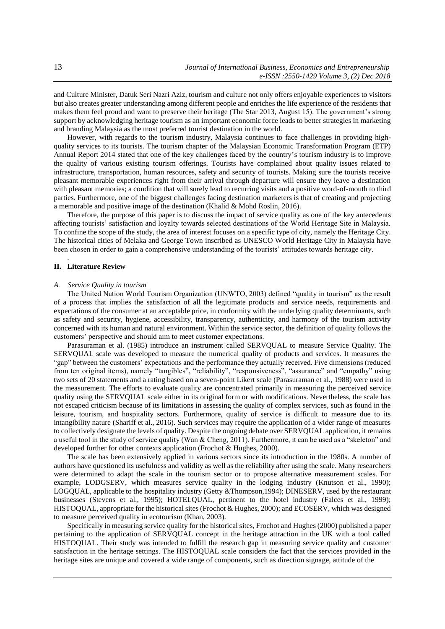and Culture Minister, Datuk Seri Nazri Aziz, tourism and culture not only offers enjoyable experiences to visitors but also creates greater understanding among different people and enriches the life experience of the residents that makes them feel proud and want to preserve their heritage (The Star 2013, August 15). The government's strong support by acknowledging heritage tourism as an important economic force leads to better strategies in marketing and branding Malaysia as the most preferred tourist destination in the world.

However, with regards to the tourism industry, Malaysia continues to face challenges in providing highquality services to its tourists. The tourism chapter of the Malaysian Economic Transformation Program (ETP) Annual Report 2014 stated that one of the key challenges faced by the country's tourism industry is to improve the quality of various existing tourism offerings. Tourists have complained about quality issues related to infrastructure, transportation, human resources, safety and security of tourists. Making sure the tourists receive pleasant memorable experiences right from their arrival through departure will ensure they leave a destination with pleasant memories; a condition that will surely lead to recurring visits and a positive word-of-mouth to third parties. Furthermore, one of the biggest challenges facing destination marketers is that of creating and projecting a memorable and positive image of the destination (Khalid & Mohd Roslin, 2016).

Therefore, the purpose of this paper is to discuss the impact of service quality as one of the key antecedents affecting tourists' satisfaction and loyalty towards selected destinations of the World Heritage Site in Malaysia. To confine the scope of the study, the area of interest focuses on a specific type of city, namely the Heritage City. The historical cities of Melaka and George Town inscribed as UNESCO World Heritage City in Malaysia have been chosen in order to gain a comprehensive understanding of the tourists' attitudes towards heritage city.

#### **II. Literature Review**

.

#### *A. Service Quality in tourism*

The United Nation World Tourism Organization (UNWTO, 2003) defined "quality in tourism" as the result of a process that implies the satisfaction of all the legitimate products and service needs, requirements and expectations of the consumer at an acceptable price, in conformity with the underlying quality determinants, such as safety and security, hygiene, accessibility, transparency, authenticity, and harmony of the tourism activity concerned with its human and natural environment. Within the service sector, the definition of quality follows the customers' perspective and should aim to meet customer expectations.

Parasuraman et al. (1985) introduce an instrument called SERVQUAL to measure Service Quality. The SERVQUAL scale was developed to measure the numerical quality of products and services. It measures the "gap" between the customers' expectations and the performance they actually received. Five dimensions (reduced from ten original items), namely "tangibles", "reliability", "responsiveness", "assurance" and "empathy" using two sets of 20 statements and a rating based on a seven-point Likert scale (Parasuraman et al., 1988) were used in the measurement. The efforts to evaluate quality are concentrated primarily in measuring the perceived service quality using the SERVQUAL scale either in its original form or with modifications. Nevertheless, the scale has not escaped criticism because of its limitations in assessing the quality of complex services, such as found in the leisure, tourism, and hospitality sectors. Furthermore, quality of service is difficult to measure due to its intangibility nature (Shariff et al., 2016). Such services may require the application of a wider range of measures to collectively designate the levels of quality. Despite the ongoing debate over SERVQUAL application, it remains a useful tool in the study of service quality (Wan & Cheng, 2011). Furthermore, it can be used as a "skeleton" and developed further for other contexts application (Frochot & Hughes, 2000).

The scale has been extensively applied in various sectors since its introduction in the 1980s. A number of authors have questioned its usefulness and validity as well as the reliability after using the scale. Many researchers were determined to adapt the scale in the tourism sector or to propose alternative measurement scales. For example, LODGSERV, which measures service quality in the lodging industry (Knutson et al., 1990); LOGQUAL, applicable to the hospitality industry (Getty &Thompson,1994); DINESERV, used by the restaurant businesses (Stevens et al., 1995); HOTELQUAL, pertinent to the hotel industry (Falces et al., 1999); HISTOQUAL, appropriate for the historical sites (Frochot & Hughes, 2000); and ECOSERV, which was designed to measure perceived quality in ecotourism (Khan, 2003).

Specifically in measuring service quality for the historical sites, Frochot and Hughes (2000) published a paper pertaining to the application of SERVQUAL concept in the heritage attraction in the UK with a tool called HISTOQUAL. Their study was intended to fulfill the research gap in measuring service quality and customer satisfaction in the heritage settings. The HISTOQUAL scale considers the fact that the services provided in the heritage sites are unique and covered a wide range of components, such as direction signage, attitude of the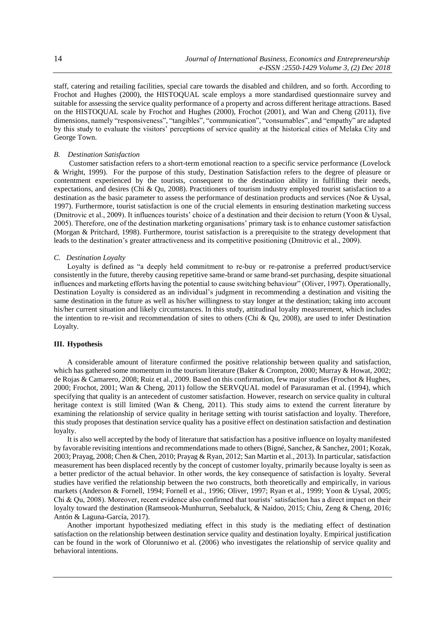staff, catering and retailing facilities, special care towards the disabled and children, and so forth. According to Frochot and Hughes (2000), the HISTOQUAL scale employs a more standardised questionnaire survey and suitable for assessing the service quality performance of a property and across different heritage attractions. Based on the HISTOQUAL scale by Frochot and Hughes (2000), Frochot (2001), and Wan and Cheng (2011), five dimensions, namely "responsiveness", "tangibles", "communication", "consumables", and "empathy" are adapted by this study to evaluate the visitors' perceptions of service quality at the historical cities of Melaka City and George Town.

## *B. Destination Satisfaction*

Customer satisfaction refers to a short-term emotional reaction to a specific service performance (Lovelock & Wright, 1999). For the purpose of this study, Destination Satisfaction refers to the degree of pleasure or contentment experienced by the tourists, consequent to the destination ability in fulfilling their needs, expectations, and desires (Chi & Qu, 2008). Practitioners of tourism industry employed tourist satisfaction to a destination as the basic parameter to assess the performance of destination products and services (Noe & Uysal, 1997). Furthermore, tourist satisfaction is one of the crucial elements in ensuring destination marketing success (Dmitrovic et al., 2009). It influences tourists' choice of a destination and their decision to return (Yoon & Uysal, 2005). Therefore, one of the destination marketing organisations' primary task is to enhance customer satisfaction (Morgan & Pritchard, 1998). Furthermore, tourist satisfaction is a prerequisite to the strategy development that leads to the destination's greater attractiveness and its competitive positioning (Dmitrovic et al., 2009).

## *C. Destination Loyalty*

Loyalty is defined as "a deeply held commitment to re-buy or re-patronise a preferred product/service consistently in the future, thereby causing repetitive same-brand or same brand-set purchasing, despite situational influences and marketing efforts having the potential to cause switching behaviour" (Oliver, 1997). Operationally, Destination Loyalty is considered as an individual's judgment in recommending a destination and visiting the same destination in the future as well as his/her willingness to stay longer at the destination; taking into account his/her current situation and likely circumstances. In this study, attitudinal loyalty measurement, which includes the intention to re-visit and recommendation of sites to others (Chi & Qu, 2008), are used to infer Destination Loyalty.

## **III. Hypothesis**

A considerable amount of literature confirmed the positive relationship between quality and satisfaction, which has gathered some momentum in the tourism literature (Baker & Crompton, 2000; Murray & Howat, 2002; de Rojas & Camarero, 2008; Ruiz et al., 2009. Based on this confirmation, few major studies (Frochot & Hughes, 2000; Frochot, 2001; Wan & Cheng, 2011) follow the SERVQUAL model of Parasuraman et al. (1994), which specifying that quality is an antecedent of customer satisfaction. However, research on service quality in cultural heritage context is still limited (Wan & Cheng, 2011). This study aims to extend the current literature by examining the relationship of service quality in heritage setting with tourist satisfaction and loyalty. Therefore, this study proposes that destination service quality has a positive effect on destination satisfaction and destination loyalty.

It is also well accepted by the body of literature that satisfaction has a positive influence on loyalty manifested by favorable revisiting intentions and recommendations made to others (Bigné, Sanchez, & Sanchez, 2001; Kozak, 2003; Prayag, 2008; Chen & Chen, 2010; Prayag & Ryan, 2012; San Martin et al., 2013). In particular, satisfaction measurement has been displaced recently by the concept of customer loyalty, primarily because loyalty is seen as a better predictor of the actual behavior. In other words, the key consequence of satisfaction is loyalty. Several studies have verified the relationship between the two constructs, both theoretically and empirically, in various markets (Anderson & Fornell, 1994; Fornell et al., 1996; Oliver, 1997; Ryan et al., 1999; Yoon & Uysal, 2005; Chi & Qu, 2008). Moreover, recent evidence also confirmed that tourists' satisfaction has a direct impact on their loyalty toward the destination (Ramseook-Munhurrun, Seebaluck, & Naidoo, 2015; Chiu, Zeng & Cheng, 2016; Antón & Laguna-García, 2017).

Another important hypothesized mediating effect in this study is the mediating effect of destination satisfaction on the relationship between destination service quality and destination loyalty. Empirical justification can be found in the work of Olorunniwo et al. (2006) who investigates the relationship of service quality and behavioral intentions.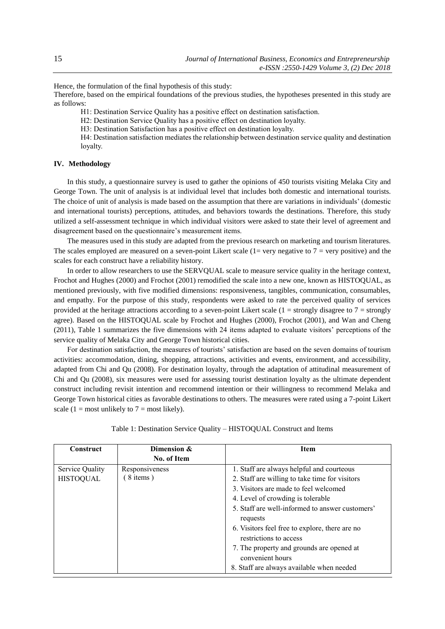Hence, the formulation of the final hypothesis of this study:

Therefore, based on the empirical foundations of the previous studies, the hypotheses presented in this study are as follows:

H1: Destination Service Quality has a positive effect on destination satisfaction.

H2: Destination Service Quality has a positive effect on destination loyalty.

H3: Destination Satisfaction has a positive effect on destination loyalty.

H4: Destination satisfaction mediates the relationship between destination service quality and destination loyalty.

## **IV. Methodology**

In this study, a questionnaire survey is used to gather the opinions of 450 tourists visiting Melaka City and George Town. The unit of analysis is at individual level that includes both domestic and international tourists. The choice of unit of analysis is made based on the assumption that there are variations in individuals' (domestic and international tourists) perceptions, attitudes, and behaviors towards the destinations. Therefore, this study utilized a self-assessment technique in which individual visitors were asked to state their level of agreement and disagreement based on the questionnaire's measurement items.

The measures used in this study are adapted from the previous research on marketing and tourism literatures. The scales employed are measured on a seven-point Likert scale  $(1=$  very negative to  $7=$  very positive) and the scales for each construct have a reliability history.

In order to allow researchers to use the SERVQUAL scale to measure service quality in the heritage context, Frochot and Hughes (2000) and Frochot (2001) remodified the scale into a new one, known as HISTOQUAL, as mentioned previously, with five modified dimensions: responsiveness, tangibles, communication, consumables, and empathy. For the purpose of this study, respondents were asked to rate the perceived quality of services provided at the heritage attractions according to a seven-point Likert scale  $(1 =$  strongly disagree to  $7 =$  strongly agree). Based on the HISTOQUAL scale by Frochot and Hughes (2000), Frochot (2001), and Wan and Cheng (2011), Table 1 summarizes the five dimensions with 24 items adapted to evaluate visitors' perceptions of the service quality of Melaka City and George Town historical cities.

For destination satisfaction, the measures of tourists' satisfaction are based on the seven domains of tourism activities: accommodation, dining, shopping, attractions, activities and events, environment, and accessibility, adapted from Chi and Qu (2008). For destination loyalty, through the adaptation of attitudinal measurement of Chi and Qu (2008), six measures were used for assessing tourist destination loyalty as the ultimate dependent construct including revisit intention and recommend intention or their willingness to recommend Melaka and George Town historical cities as favorable destinations to others. The measures were rated using a 7-point Likert scale (1 = most unlikely to  $7 =$  most likely).

| Construct        | Dimension &    | <b>Item</b>                                                              |
|------------------|----------------|--------------------------------------------------------------------------|
|                  | No. of Item    |                                                                          |
| Service Quality  | Responsiveness | 1. Staff are always helpful and courteous                                |
| <b>HISTOQUAL</b> | $(8$ items)    | 2. Staff are willing to take time for visitors                           |
|                  |                | 3. Visitors are made to feel welcomed                                    |
|                  |                | 4. Level of crowding is tolerable                                        |
|                  |                | 5. Staff are well-informed to answer customers'<br>requests              |
|                  |                | 6. Visitors feel free to explore, there are no<br>restrictions to access |
|                  |                | 7. The property and grounds are opened at<br>convenient hours            |
|                  |                | 8. Staff are always available when needed                                |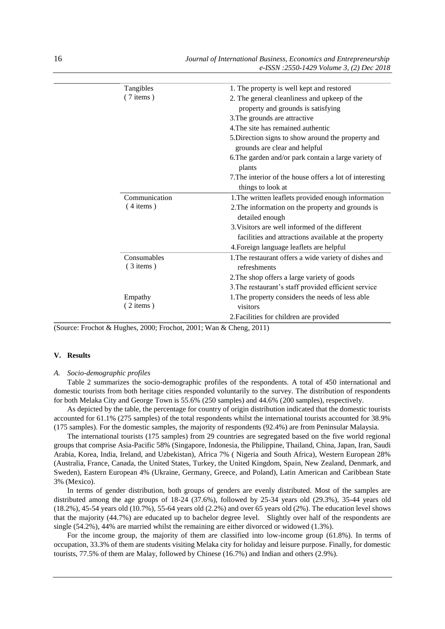| Tangibles     | 1. The property is well kept and restored                |
|---------------|----------------------------------------------------------|
| $(7$ items)   | 2. The general cleanliness and upkeep of the             |
|               | property and grounds is satisfying                       |
|               | 3. The grounds are attractive                            |
|               | 4. The site has remained authentic                       |
|               | 5. Direction signs to show around the property and       |
|               | grounds are clear and helpful                            |
|               | 6. The garden and/or park contain a large variety of     |
|               | plants                                                   |
|               | 7. The interior of the house offers a lot of interesting |
|               | things to look at                                        |
| Communication | 1. The written leaflets provided enough information      |
| $(4$ items)   | 2. The information on the property and grounds is        |
|               | detailed enough                                          |
|               | 3. Visitors are well informed of the different           |
|               | facilities and attractions available at the property     |
|               | 4. Foreign language leaflets are helpful                 |
| Consumables   | 1. The restaurant offers a wide variety of dishes and    |
| $(3$ items)   | refreshments                                             |
|               | 2. The shop offers a large variety of goods              |
|               | 3. The restaurant's staff provided efficient service     |
| Empathy       | 1. The property considers the needs of less able         |
| $(2$ items)   | visitors                                                 |
|               | 2. Facilities for children are provided                  |

(Source: Frochot & Hughes, 2000; Frochot, 2001; Wan & Cheng, 2011)

## **V. Results**

#### *A. Socio-demographic profiles*

Table 2 summarizes the socio-demographic profiles of the respondents. A total of 450 international and domestic tourists from both heritage cities responded voluntarily to the survey. The distribution of respondents for both Melaka City and George Town is 55.6% (250 samples) and 44.6% (200 samples), respectively.

As depicted by the table, the percentage for country of origin distribution indicated that the domestic tourists accounted for 61.1% (275 samples) of the total respondents whilst the international tourists accounted for 38.9% (175 samples). For the domestic samples, the majority of respondents (92.4%) are from Peninsular Malaysia.

The international tourists (175 samples) from 29 countries are segregated based on the five world regional groups that comprise Asia-Pacific 58% (Singapore, Indonesia, the Philippine, Thailand, China, Japan, Iran, Saudi Arabia, Korea, India, Ireland, and Uzbekistan), Africa 7% ( Nigeria and South Africa), Western European 28% (Australia, France, Canada, the United States, Turkey, the United Kingdom, Spain, New Zealand, Denmark, and Sweden), Eastern European 4% (Ukraine, Germany, Greece, and Poland), Latin American and Caribbean State 3% (Mexico).

In terms of gender distribution, both groups of genders are evenly distributed. Most of the samples are distributed among the age groups of 18-24 (37.6%), followed by 25-34 years old (29.3%), 35-44 years old (18.2%), 45-54 years old (10.7%), 55-64 years old (2.2%) and over 65 years old (2%). The education level shows that the majority (44.7%) are educated up to bachelor degree level. Slightly over half of the respondents are single (54.2%), 44% are married whilst the remaining are either divorced or widowed (1.3%).

For the income group, the majority of them are classified into low-income group (61.8%). In terms of occupation, 33.3% of them are students visiting Melaka city for holiday and leisure purpose. Finally, for domestic tourists, 77.5% of them are Malay, followed by Chinese (16.7%) and Indian and others (2.9%).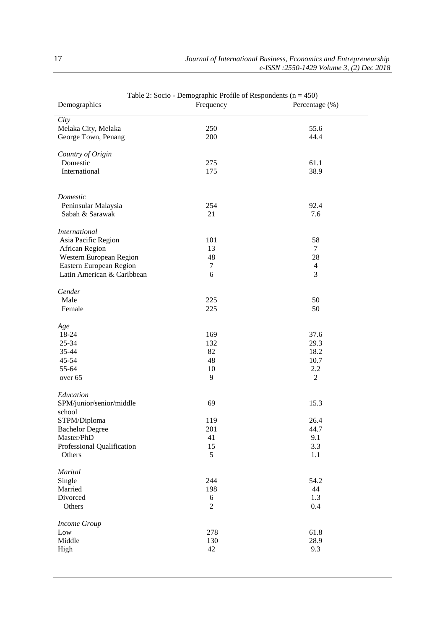| Table 2: Socio - Demographic Profile of Respondents ( $n = 450$ ) |                     |                |  |  |  |
|-------------------------------------------------------------------|---------------------|----------------|--|--|--|
| Demographics                                                      | Frequency           | Percentage (%) |  |  |  |
| City                                                              |                     |                |  |  |  |
| Melaka City, Melaka                                               | 250                 | 55.6           |  |  |  |
| George Town, Penang                                               | 200                 | 44.4           |  |  |  |
|                                                                   |                     |                |  |  |  |
| Country of Origin                                                 |                     |                |  |  |  |
| Domestic                                                          | 275                 | 61.1           |  |  |  |
| International                                                     | 175                 | 38.9           |  |  |  |
|                                                                   |                     |                |  |  |  |
|                                                                   |                     |                |  |  |  |
| Domestic                                                          |                     |                |  |  |  |
| Peninsular Malaysia                                               | 254                 | 92.4           |  |  |  |
| Sabah & Sarawak                                                   | 21                  | 7.6            |  |  |  |
| <b>International</b>                                              |                     |                |  |  |  |
| Asia Pacific Region                                               | 101                 | 58             |  |  |  |
| African Region                                                    | 13                  | 7              |  |  |  |
| Western European Region                                           | 48                  | 28             |  |  |  |
| Eastern European Region                                           | $\tau$              | $\overline{4}$ |  |  |  |
| Latin American & Caribbean                                        | 6                   | 3              |  |  |  |
|                                                                   |                     |                |  |  |  |
| Gender                                                            |                     |                |  |  |  |
| Male                                                              | 225                 | 50             |  |  |  |
| Female                                                            | 225                 | 50             |  |  |  |
|                                                                   |                     |                |  |  |  |
| Age                                                               |                     |                |  |  |  |
| 18-24                                                             | 169                 | 37.6           |  |  |  |
| 25-34                                                             | 132                 | 29.3           |  |  |  |
| 35-44<br>45-54                                                    | 82<br>48            | 18.2<br>10.7   |  |  |  |
| 55-64                                                             | 10                  | 2.2            |  |  |  |
| over 65                                                           | 9                   | $\mathbf{2}$   |  |  |  |
|                                                                   |                     |                |  |  |  |
| Education                                                         |                     |                |  |  |  |
| SPM/junior/senior/middle                                          | 69                  | 15.3           |  |  |  |
| school                                                            |                     |                |  |  |  |
| STPM/Diploma                                                      | 119                 | 26.4           |  |  |  |
| <b>Bachelor Degree</b>                                            | 201                 | 44.7           |  |  |  |
| Master/PhD                                                        | 41                  | 9.1            |  |  |  |
| Professional Qualification                                        | 15                  | 3.3            |  |  |  |
| Others                                                            | 5                   | 1.1            |  |  |  |
|                                                                   |                     |                |  |  |  |
| Marital                                                           |                     |                |  |  |  |
| Single                                                            | 244                 | 54.2           |  |  |  |
| Married                                                           | 198                 | 44             |  |  |  |
| Divorced<br>Others                                                | 6<br>$\overline{2}$ | 1.3<br>0.4     |  |  |  |
|                                                                   |                     |                |  |  |  |
| <b>Income Group</b>                                               |                     |                |  |  |  |
| Low                                                               | 278                 | 61.8           |  |  |  |
| Middle                                                            | 130                 | 28.9           |  |  |  |
| High                                                              | 42                  | 9.3            |  |  |  |
|                                                                   |                     |                |  |  |  |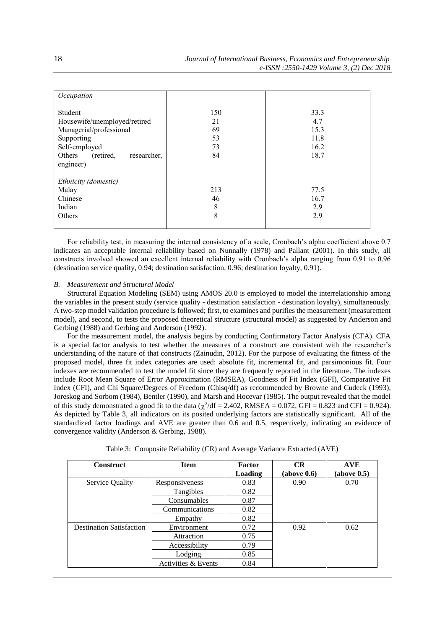| Occupation                                                                                                                                           |                                   |                                             |
|------------------------------------------------------------------------------------------------------------------------------------------------------|-----------------------------------|---------------------------------------------|
| Student<br>Housewife/unemployed/retired<br>Managerial/professional<br>Supporting<br>Self-employed<br>Others<br>(retired,<br>researcher.<br>engineer) | 150<br>21<br>69<br>53<br>73<br>84 | 33.3<br>4.7<br>15.3<br>11.8<br>16.2<br>18.7 |
| Ethnicity (domestic)<br>Malay<br>Chinese<br>Indian<br>Others                                                                                         | 213<br>46<br>8<br>8               | 77.5<br>16.7<br>2.9<br>2.9                  |

For reliability test, in measuring the internal consistency of a scale, Cronbach's alpha coefficient above 0.7 indicates an acceptable internal reliability based on Nunnally (1978) and Pallant (2001). In this study, all constructs involved showed an excellent internal reliability with Cronbach's alpha ranging from 0.91 to 0.96 (destination service quality, 0.94; destination satisfaction, 0.96; destination loyalty, 0.91).

#### *B. Measurement and Structural Model*

Structural Equation Modeling (SEM) using AMOS 20.0 is employed to model the interrelationship among the variables in the present study (service quality - destination satisfaction - destination loyalty), simultaneously. A two-step model validation procedure is followed; first, to examines and purifies the measurement (measurement model), and second, to tests the proposed theoretical structure (structural model) as suggested by Anderson and Gerbing (1988) and Gerbing and Anderson (1992).

For the measurement model, the analysis begins by conducting Confirmatory Factor Analysis (CFA). CFA is a special factor analysis to test whether the measures of a construct are consistent with the researcher's understanding of the nature of that constructs (Zainudin, 2012). For the purpose of evaluating the fitness of the proposed model, three fit index categories are used: absolute fit, incremental fit, and parsimonious fit. Four indexes are recommended to test the model fit since they are frequently reported in the literature. The indexes include Root Mean Square of Error Approximation (RMSEA), Goodness of Fit Index (GFI), Comparative Fit Index (CFI), and Chi Square/Degrees of Freedom (Chisq/df) as recommended by Browne and Cudeck (1993), Joreskog and Sorbom (1984), Bentler (1990), and Marsh and Hocevar (1985). The output revealed that the model of this study demonstrated a good fit to the data ( $\chi^2/df = 2.402$ , RMSEA = 0.072, GFI = 0.823 and CFI = 0.924). As depicted by Table 3, all indicators on its posited underlying factors are statistically significant. All of the standardized factor loadings and AVE are greater than 0.6 and 0.5, respectively, indicating an evidence of convergence validity (Anderson & Gerbing, 1988).

| Table 3: Composite Reliability (CR) and Average Variance Extracted (AVE) |  |  |  |  |
|--------------------------------------------------------------------------|--|--|--|--|
|                                                                          |  |  |  |  |

| <b>Construct</b>                | <b>Item</b>         | Factor  | CR          | <b>AVE</b>  |
|---------------------------------|---------------------|---------|-------------|-------------|
|                                 |                     | Loading | (above 0.6) | (above 0.5) |
| Service Quality                 | Responsiveness      | 0.83    | 0.90        | 0.70        |
|                                 | Tangibles           | 0.82    |             |             |
|                                 | Consumables         | 0.87    |             |             |
|                                 | Communications      | 0.82    |             |             |
|                                 | Empathy             | 0.82    |             |             |
| <b>Destination Satisfaction</b> | Environment         | 0.72    | 0.92        | 0.62        |
|                                 | Attraction          | 0.75    |             |             |
|                                 | Accessibility       | 0.79    |             |             |
|                                 | Lodging             | 0.85    |             |             |
|                                 | Activities & Events | 0.84    |             |             |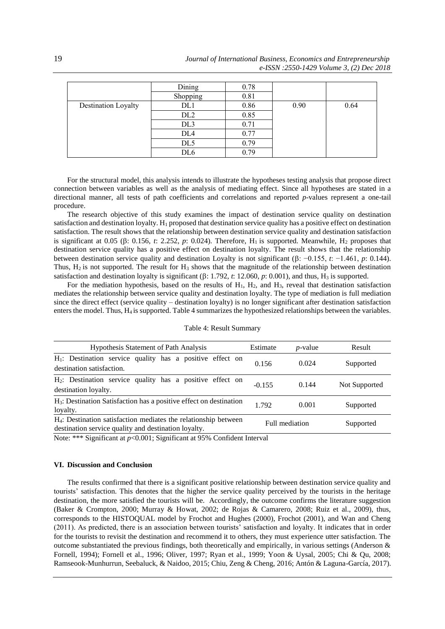|                     | Dining          | 0.78 |      |      |
|---------------------|-----------------|------|------|------|
|                     | Shopping        | 0.81 |      |      |
| Destination Loyalty | DL1             | 0.86 | 0.90 | 0.64 |
|                     | DL <sub>2</sub> | 0.85 |      |      |
|                     | DL <sub>3</sub> | 0.71 |      |      |
|                     | DL <sub>4</sub> | 0.77 |      |      |
|                     | DL <sub>5</sub> | 0.79 |      |      |
|                     | DL6             | 0.79 |      |      |

For the structural model, this analysis intends to illustrate the hypotheses testing analysis that propose direct connection between variables as well as the analysis of mediating effect. Since all hypotheses are stated in a directional manner, all tests of path coefficients and correlations and reported *p*-values represent a one-tail procedure.

The research objective of this study examines the impact of destination service quality on destination satisfaction and destination loyalty.  $H_1$  proposed that destination service quality has a positive effect on destination satisfaction. The result shows that the relationship between destination service quality and destination satisfaction is significant at 0.05 ( $\beta$ : 0.156, *t*: 2.252, *p*: 0.024). Therefore, H<sub>1</sub> is supported. Meanwhile, H<sub>2</sub> proposes that destination service quality has a positive effect on destination loyalty. The result shows that the relationship between destination service quality and destination Loyalty is not significant ( $\beta$ : −0.155,  $t$ : −1.461,  $p$ : 0.144). Thus,  $H_2$  is not supported. The result for  $H_3$  shows that the magnitude of the relationship between destination satisfaction and destination loyalty is significant ( $\beta$ : 1.792, *t*: 12.060, *p*: 0.001), and thus, H<sub>3</sub> is supported.

For the mediation hypothesis, based on the results of  $H_1$ ,  $H_2$ , and  $H_3$ , reveal that destination satisfaction mediates the relationship between service quality and destination loyalty. The type of mediation is full mediation since the direct effect (service quality – destination loyalty) is no longer significant after destination satisfaction enters the model. Thus, H4 is supported. Table 4 summarizes the hypothesized relationships between the variables.

| <b>Hypothesis Statement of Path Analysis</b>                                                                                        | Estimate | <i>p</i> -value | Result        |
|-------------------------------------------------------------------------------------------------------------------------------------|----------|-----------------|---------------|
| H <sub>1</sub> : Destination service quality has a positive effect on<br>destination satisfaction.                                  | 0.156    | 0.024           | Supported     |
| $H_2$ : Destination service quality has a positive effect on<br>destination loyalty.                                                | $-0.155$ | 0.144           | Not Supported |
| H <sub>3</sub> : Destination Satisfaction has a positive effect on destination<br>loyalty.                                          | 1.792    | 0.001           | Supported     |
| H <sub>4</sub> : Destination satisfaction mediates the relationship between<br>destination service quality and destination loyalty. |          | Full mediation  | Supported     |

| Table 4: Result Summary |  |
|-------------------------|--|
|-------------------------|--|

Note: \*\*\* Significant at *p*<0.001; Significant at 95% Confident Interval

#### **VI. Discussion and Conclusion**

The results confirmed that there is a significant positive relationship between destination service quality and tourists' satisfaction. This denotes that the higher the service quality perceived by the tourists in the heritage destination, the more satisfied the tourists will be. Accordingly, the outcome confirms the literature suggestion (Baker & Crompton, 2000; Murray & Howat, 2002; de Rojas & Camarero, 2008; Ruiz et al., 2009), thus, corresponds to the HISTOQUAL model by Frochot and Hughes (2000), Frochot (2001), and Wan and Cheng (2011). As predicted, there is an association between tourists' satisfaction and loyalty. It indicates that in order for the tourists to revisit the destination and recommend it to others, they must experience utter satisfaction. The outcome substantiated the previous findings, both theoretically and empirically, in various settings (Anderson  $\&$ Fornell, 1994); Fornell et al., 1996; Oliver, 1997; Ryan et al., 1999; Yoon & Uysal, 2005; Chi & Qu, 2008; Ramseook-Munhurrun, Seebaluck, & Naidoo, 2015; Chiu, Zeng & Cheng, 2016; Antón & Laguna-García, 2017).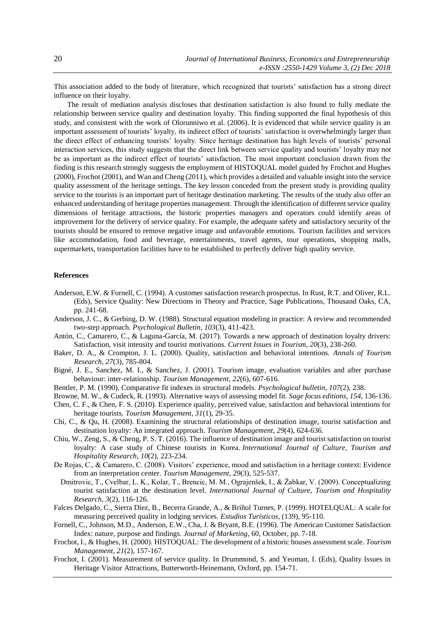This association added to the body of literature, which recognized that tourists' satisfaction has a strong direct influence on their loyalty.

The result of mediation analysis discloses that destination satisfaction is also found to fully mediate the relationship between service quality and destination loyalty. This finding supported the final hypothesis of this study, and consistent with the work of Olorunniwo et al. (2006). It is evidenced that while service quality is an important assessment of tourists' loyalty, its indirect effect of tourists' satisfaction is overwhelmingly larger than the direct effect of enhancing tourists' loyalty. Since heritage destination has high levels of tourists' personal interaction services, this study suggests that the direct link between service quality and tourists' loyalty may not be as important as the indirect effect of tourists' satisfaction. The most important conclusion drawn from the finding is this research strongly suggests the employment of HISTOQUAL model guided by Frochot and Hughes (2000), Frochot (2001), and Wan and Cheng (2011), which provides a detailed and valuable insight into the service quality assessment of the heritage settings. The key lesson conceded from the present study is providing quality service to the tourists is an important part of heritage destination marketing. The results of the study also offer an enhanced understanding of heritage properties management. Through the identification of different service quality dimensions of heritage attractions, the historic properties managers and operators could identify areas of improvement for the delivery of service quality. For example, the adequate safety and satisfactory security of the tourists should be ensured to remove negative image and unfavorable emotions. Tourism facilities and services like accommodation, food and beverage, entertainments, travel agents, tour operations, shopping malls, supermarkets, transportation facilities have to be established to perfectly deliver high quality service.

## **References**

- Anderson, E.W. & Fornell, C. (1994). A customer satisfaction research prospectus. In Rust, R.T. and Oliver, R.L. (Eds), Service Quality: New Directions in Theory and Practice, Sage Publications, Thousand Oaks, CA, pp. 241-68.
- Anderson, J. C., & Gerbing, D. W. (1988). Structural equation modeling in practice: A review and recommended two-step approach. *Psychological Bulletin*, *103*(3), 411-423.
- Antón, C., Camarero, C., & Laguna-García, M. (2017). Towards a new approach of destination loyalty drivers: Satisfaction, visit intensity and tourist motivations. *Current Issues in Tourism*, *20*(3), 238-260.
- Baker, D. A., & Crompton, J. L. (2000). Quality, satisfaction and behavioral intentions. *Annals of Tourism Research*, *27*(3), 785-804.
- Bigné, J. E., Sanchez, M. I., & Sanchez, J. (2001). Tourism image, evaluation variables and after purchase behaviour: inter-relationship. *Tourism Management*, *22*(6), 607-616.
- Bentler, P. M. (1990). Comparative fit indexes in structural models. *Psychological bulletin*, *107*(2), 238.
- Browne, M. W., & Cudeck, R. (1993). Alternative ways of assessing model fit. *Sage focus editions*, *154*, 136-136.
- Chen, C. F., & Chen, F. S. (2010). Experience quality, perceived value, satisfaction and behavioral intentions for heritage tourists. *Tourism Management*, *31*(1), 29-35.
- Chi, C., & Qu, H. (2008). Examining the structural relationships of destination image, tourist satisfaction and destination loyalty: An integrated approach. *Tourism Management*, *29*(4), 624-636.
- Chiu, W., Zeng, S., & Cheng, P. S. T. (2016). The influence of destination image and tourist satisfaction on tourist loyalty: A case study of Chinese tourists in Korea. *International Journal of Culture, Tourism and Hospitality Research*, *10*(2), 223-234.
- De Rojas, C., & Camarero, C. (2008). Visitors' experience, mood and satisfaction in a heritage context: Evidence from an interpretation center. *Tourism Management*, *29*(3), 525-537.
- Dmitrovic, T., Cvelbar, L. K., Kolar, T., Brencic, M. M., Ograjenšek, I., & Žabkar, V. (2009). Conceptualizing tourist satisfaction at the destination level. *International Journal of Culture, Tourism and Hospitality Research*, *3*(2), 116-126.
- Falces Delgado, C., Sierra Díez, B., Becerra Grande, A., & Briñol Turnes, P. (1999). HOTELQUAL: A scale for measuring perceived quality in lodging services. *Estudios Turísticos*, (139), 95-110.
- Fornell, C., Johnson, M.D., Anderson, E.W., Cha, J. & Bryant, B.E. (1996). The American Customer Satisfaction Index: nature, purpose and findings. *Journal of Marketing*, 60, October, pp. 7-18.
- Frochot, I., & Hughes, H. (2000). HISTOQUAL: The development of a historic houses assessment scale. *Tourism Management*, *21*(2), 157-167.
- Frochot, I. (2001). Measurement of service quality. In Drummond, S. and Yeoman, I. (Eds), Quality Issues in Heritage Visitor Attractions, Butterworth-Heinemann, Oxford, pp. 154-71.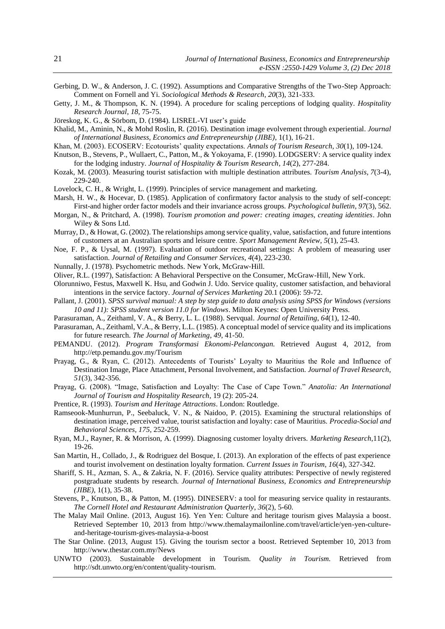- Gerbing, D. W., & Anderson, J. C. (1992). Assumptions and Comparative Strengths of the Two-Step Approach: Comment on Fornell and Yi. *Sociological Methods & Research*, *20*(3), 321-333.
- Getty, J. M., & Thompson, K. N. (1994). A procedure for scaling perceptions of lodging quality. *Hospitality Research Journal*, *18*, 75-75.
- Jöreskog, K. G., & Sörbom, D. (1984). LISREL-VI user's guide
- Khalid, M., Aminin, N., & Mohd Roslin, R. (2016). Destination image evolvement through experiential. *Journal of International Business, Economics and Entrepreneurship (JIBE)*, 1(1), 16-21.
- Khan, M. (2003). ECOSERV: Ecotourists' quality expectations. *Annals of Tourism Research*, *30*(1), 109-124.
- Knutson, B., Stevens, P., Wullaert, C., Patton, M., & Yokoyama, F. (1990). LODGSERV: A service quality index for the lodging industry. *Journal of Hospitality & Tourism Research*, *14*(2), 277-284.
- Kozak, M. (2003). Measuring tourist satisfaction with multiple destination attributes. *Tourism Analysis*, *7*(3-4), 229-240.
- Lovelock, C. H., & Wright, L. (1999). Principles of service management and marketing.
- Marsh, H. W., & Hocevar, D. (1985). Application of confirmatory factor analysis to the study of self-concept: First-and higher order factor models and their invariance across groups. *Psychological bulletin*, *97*(3), 562.
- Morgan, N., & Pritchard, A. (1998). *Tourism promotion and power: creating images, creating identities*. John Wiley & Sons Ltd.
- Murray, D., & Howat, G. (2002). The relationships among service quality, value, satisfaction, and future intentions of customers at an Australian sports and leisure centre. *Sport Management Review*, *5*(1), 25-43.
- Noe, F. P., & Uysal, M. (1997). Evaluation of outdoor recreational settings: A problem of measuring user satisfaction. *Journal of Retailing and Consumer Services*, *4*(4), 223-230.
- Nunnally, J. (1978). Psychometric methods. New York, McGraw‐Hill.
- Oliver, R.L. (1997), Satisfaction: A Behavioral Perspective on the Consumer, McGraw-Hill, New York.
- Olorunniwo, Festus, Maxwell K. Hsu, and Godwin J. Udo. Service quality, customer satisfaction, and behavioral intentions in the service factory. *Journal of Services Marketing* 20.1 (2006): 59-72.
- Pallant, J. (2001). *SPSS survival manual: A step by step guide to data analysis using SPSS for Windows (versions 10 and 11): SPSS student version 11.0 for Windows*. Milton Keynes: Open University Press.
- Parasuraman, A., Zeithaml, V. A., & Berry, L. L. (1988). Servqual. *Journal of Retailing*, *64*(1), 12-40.
- Parasuraman, A., Zeithaml, V.A., & Berry, L.L. (1985). A conceptual model of service quality and its implications for future research. *The Journal of Marketing*, *49*, 41-50.
- PEMANDU. (2012). *Program Transformasi Ekonomi-Pelancongan.* Retrieved August 4, 2012, from http://etp.pemandu.gov.my/Tourism
- Prayag, G., & Ryan, C. (2012). Antecedents of Tourists' Loyalty to Mauritius the Role and Influence of Destination Image, Place Attachment, Personal Involvement, and Satisfaction. *Journal of Travel Research*, *51*(3), 342-356.
- Prayag, G. (2008). "Image, Satisfaction and Loyalty: The Case of Cape Town." *Anatolia: An International Journal of Tourism and Hospitality Research*, 19 (2): 205-24.
- Prentice, R. (1993). *Tourism and Heritage Attractions*. London: Routledge.
- Ramseook-Munhurrun, P., Seebaluck, V. N., & Naidoo, P. (2015). Examining the structural relationships of destination image, perceived value, tourist satisfaction and loyalty: case of Mauritius. *Procedia-Social and Behavioral Sciences*, *175*, 252-259.
- Ryan, M.J., Rayner, R. & Morrison, A. (1999). Diagnosing customer loyalty drivers. *Marketing Research*,11(2), 19-26.
- San Martin, H., Collado, J., & Rodriguez del Bosque, I. (2013). An exploration of the effects of past experience and tourist involvement on destination loyalty formation. *Current Issues in Tourism*, *16*(4), 327-342.
- Shariff, S. H., Azman, S. A., & Zakria, N. F. (2016). Service quality attributes: Perspective of newly registered postgraduate students by research. *Journal of International Business, Economics and Entrepreneurship (JIBE)*, 1(1), 35-38.
- Stevens, P., Knutson, B., & Patton, M. (1995). DINESERV: a tool for measuring service quality in restaurants. *The Cornell Hotel and Restaurant Administration Quarterly*, *36*(2), 5-60.
- The Malay Mail Online. (2013, August 16). Yen Yen: Culture and heritage tourism gives Malaysia a boost. Retrieved September 10, 2013 from http://www.themalaymailonline.com/travel/article/yen-yen-cultureand-heritage-tourism-gives-malaysia-a-boost
- The Star Online. (2013, August 15). Giving the tourism sector a boost. Retrieved September 10, 2013 from http://www.thestar.com.my/News
- UNWTO (2003). Sustainable development in Tourism*. Quality in Tourism.* Retrieved from http://sdt.unwto.org/en/content/quality-tourism.